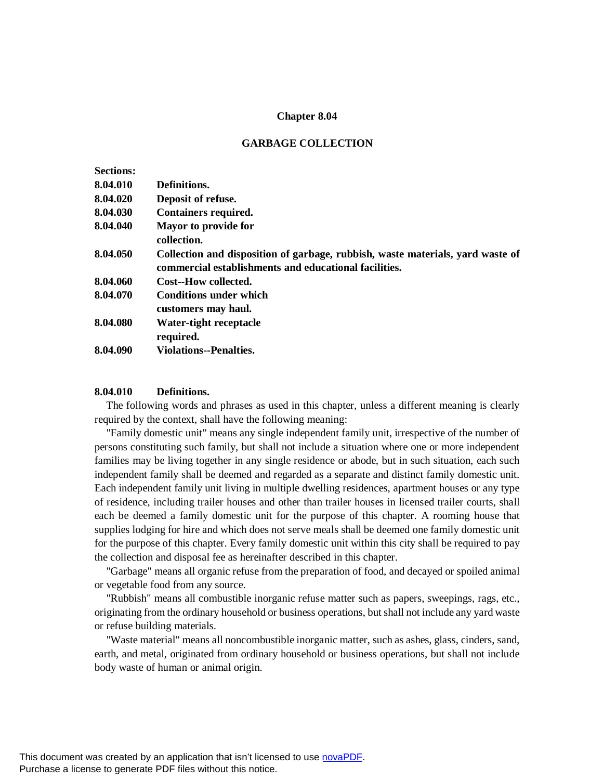### **Chapter 8.04**

### **GARBAGE COLLECTION**

| <b>Sections:</b> |                                                                                                                                         |
|------------------|-----------------------------------------------------------------------------------------------------------------------------------------|
| 8.04.010         | Definitions.                                                                                                                            |
| 8.04.020         | Deposit of refuse.                                                                                                                      |
| 8.04.030         | <b>Containers required.</b>                                                                                                             |
| 8.04.040         | Mayor to provide for<br>collection.                                                                                                     |
| 8.04.050         | Collection and disposition of garbage, rubbish, waste materials, yard waste of<br>commercial establishments and educational facilities. |
| 8.04.060         | Cost--How collected.                                                                                                                    |
| 8.04.070         | <b>Conditions under which</b><br>customers may haul.                                                                                    |
| 8.04.080         | Water-tight receptacle<br>required.                                                                                                     |
| 8.04.090         | <b>Violations--Penalties.</b>                                                                                                           |
|                  |                                                                                                                                         |

### **8.04.010 Definitions.**

The following words and phrases as used in this chapter, unless a different meaning is clearly required by the context, shall have the following meaning:

"Family domestic unit" means any single independent family unit, irrespective of the number of persons constituting such family, but shall not include a situation where one or more independent families may be living together in any single residence or abode, but in such situation, each such independent family shall be deemed and regarded as a separate and distinct family domestic unit. Each independent family unit living in multiple dwelling residences, apartment houses or any type of residence, including trailer houses and other than trailer houses in licensed trailer courts, shall each be deemed a family domestic unit for the purpose of this chapter. A rooming house that supplies lodging for hire and which does not serve meals shall be deemed one family domestic unit for the purpose of this chapter. Every family domestic unit within this city shall be required to pay the collection and disposal fee as hereinafter described in this chapter.

"Garbage" means all organic refuse from the preparation of food, and decayed or spoiled animal or vegetable food from any source.

"Rubbish" means all combustible inorganic refuse matter such as papers, sweepings, rags, etc., originating from the ordinary household or business operations, but shall not include any yard waste or refuse building materials.

"Waste material" means all noncombustible inorganic matter, such as ashes, glass, cinders, sand, earth, and metal, originated from ordinary household or business operations, but shall not include body waste of human or animal origin.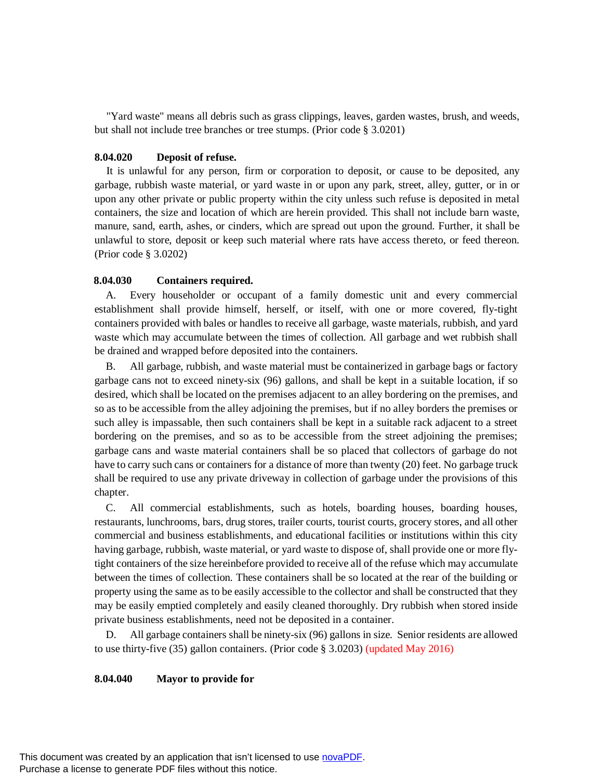"Yard waste" means all debris such as grass clippings, leaves, garden wastes, brush, and weeds, but shall not include tree branches or tree stumps. (Prior code § 3.0201)

### **8.04.020 Deposit of refuse.**

It is unlawful for any person, firm or corporation to deposit, or cause to be deposited, any garbage, rubbish waste material, or yard waste in or upon any park, street, alley, gutter, or in or upon any other private or public property within the city unless such refuse is deposited in metal containers, the size and location of which are herein provided. This shall not include barn waste, manure, sand, earth, ashes, or cinders, which are spread out upon the ground. Further, it shall be unlawful to store, deposit or keep such material where rats have access thereto, or feed thereon. (Prior code § 3.0202)

#### **8.04.030 Containers required.**

A. Every householder or occupant of a family domestic unit and every commercial establishment shall provide himself, herself, or itself, with one or more covered, fly-tight containers provided with bales or handles to receive all garbage, waste materials, rubbish, and yard waste which may accumulate between the times of collection. All garbage and wet rubbish shall be drained and wrapped before deposited into the containers.

B. All garbage, rubbish, and waste material must be containerized in garbage bags or factory garbage cans not to exceed ninety-six (96) gallons, and shall be kept in a suitable location, if so desired, which shall be located on the premises adjacent to an alley bordering on the premises, and so as to be accessible from the alley adjoining the premises, but if no alley borders the premises or such alley is impassable, then such containers shall be kept in a suitable rack adjacent to a street bordering on the premises, and so as to be accessible from the street adjoining the premises; garbage cans and waste material containers shall be so placed that collectors of garbage do not have to carry such cans or containers for a distance of more than twenty (20) feet. No garbage truck shall be required to use any private driveway in collection of garbage under the provisions of this chapter.

C. All commercial establishments, such as hotels, boarding houses, boarding houses, restaurants, lunchrooms, bars, drug stores, trailer courts, tourist courts, grocery stores, and all other commercial and business establishments, and educational facilities or institutions within this city having garbage, rubbish, waste material, or yard waste to dispose of, shall provide one or more flytight containers of the size hereinbefore provided to receive all of the refuse which may accumulate between the times of collection. These containers shall be so located at the rear of the building or property using the same as to be easily accessible to the collector and shall be constructed that they may be easily emptied completely and easily cleaned thoroughly. Dry rubbish when stored inside private business establishments, need not be deposited in a container.

D. All garbage containers shall be ninety-six (96) gallons in size. Senior residents are allowed to use thirty-five (35) gallon containers. (Prior code § 3.0203) (updated May 2016)

#### **8.04.040 Mayor to provide for**

This document was created by an application that isn't licensed to use [novaPDF](http://www.novapdf.com/). Purchase a license to generate PDF files without this notice.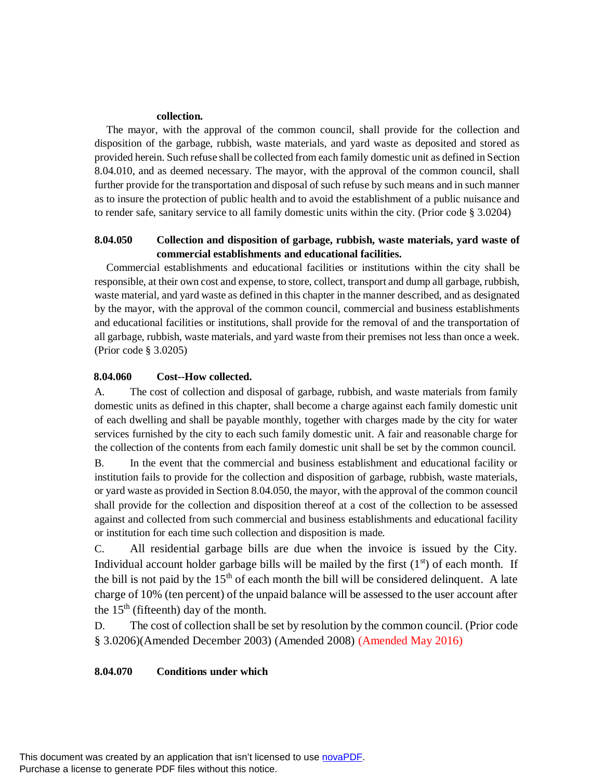### **collection.**

The mayor, with the approval of the common council, shall provide for the collection and disposition of the garbage, rubbish, waste materials, and yard waste as deposited and stored as provided herein. Such refuse shall be collected from each family domestic unit as defined in Section 8.04.010, and as deemed necessary. The mayor, with the approval of the common council, shall further provide for the transportation and disposal of such refuse by such means and in such manner as to insure the protection of public health and to avoid the establishment of a public nuisance and to render safe, sanitary service to all family domestic units within the city. (Prior code § 3.0204)

# **8.04.050 Collection and disposition of garbage, rubbish, waste materials, yard waste of commercial establishments and educational facilities.**

Commercial establishments and educational facilities or institutions within the city shall be responsible, at their own cost and expense, to store, collect, transport and dump all garbage, rubbish, waste material, and yard waste as defined in this chapter in the manner described, and as designated by the mayor, with the approval of the common council, commercial and business establishments and educational facilities or institutions, shall provide for the removal of and the transportation of all garbage, rubbish, waste materials, and yard waste from their premises not less than once a week. (Prior code § 3.0205)

# **8.04.060 Cost--How collected.**

A. The cost of collection and disposal of garbage, rubbish, and waste materials from family domestic units as defined in this chapter, shall become a charge against each family domestic unit of each dwelling and shall be payable monthly, together with charges made by the city for water services furnished by the city to each such family domestic unit. A fair and reasonable charge for the collection of the contents from each family domestic unit shall be set by the common council.

B. In the event that the commercial and business establishment and educational facility or institution fails to provide for the collection and disposition of garbage, rubbish, waste materials, or yard waste as provided in Section 8.04.050, the mayor, with the approval of the common council shall provide for the collection and disposition thereof at a cost of the collection to be assessed against and collected from such commercial and business establishments and educational facility or institution for each time such collection and disposition is made.

C. All residential garbage bills are due when the invoice is issued by the City. Individual account holder garbage bills will be mailed by the first  $(1<sup>st</sup>)$  of each month. If the bill is not paid by the  $15<sup>th</sup>$  of each month the bill will be considered delinquent. A late charge of 10% (ten percent) of the unpaid balance will be assessed to the user account after the  $15<sup>th</sup>$  (fifteenth) day of the month.

D. The cost of collection shall be set by resolution by the common council. (Prior code § 3.0206)(Amended December 2003) (Amended 2008) (Amended May 2016)

# **8.04.070 Conditions under which**